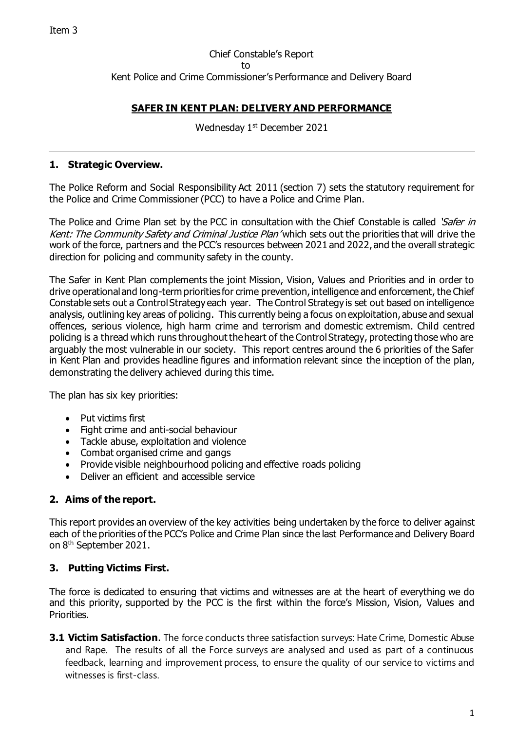## Chief Constable's Report to Kent Police and Crime Commissioner's Performance and Delivery Board

# **SAFER IN KENT PLAN: DELIVERY AND PERFORMANCE**

Wednesday 1<sup>st</sup> December 2021

### **1. Strategic Overview.**

The Police Reform and Social Responsibility Act 2011 (section 7) sets the statutory requirement for the Police and Crime Commissioner (PCC) to have a Police and Crime Plan.

The Police and Crime Plan set by the PCC in consultation with the Chief Constable is called 'Safer in Kent: The Community Safety and Criminal Justice Plan' which sets out the priorities that will drive the work of the force, partners and the PCC's resources between 2021 and 2022, and the overall strategic direction for policing and community safety in the county.

The Safer in Kent Plan complements the joint Mission, Vision, Values and Priorities and in order to drive operational and long-term priorities for crime prevention, intelligence and enforcement, the Chief Constable sets out a Control Strategy each year. The Control Strategy is set out based on intelligence analysis, outlining key areas of policing. This currently being a focus on exploitation, abuse and sexual offences, serious violence, high harm crime and terrorism and domestic extremism. Child centred policing is a thread which runs throughout the heart of the Control Strategy, protecting those who are arguably the most vulnerable in our society. This report centres around the 6 priorities of the Safer in Kent Plan and provides headline figures and information relevant since the inception of the plan, demonstrating the delivery achieved during this time.

The plan has six key priorities:

- Put victims first
- Fight crime and anti-social behaviour
- Tackle abuse, exploitation and violence
- Combat organised crime and gangs
- Provide visible neighbourhood policing and effective roads policing
- Deliver an efficient and accessible service

### **2. Aims of the report.**

This report provides an overview of the key activities being undertaken by the force to deliver against each of the priorities of the PCC's Police and Crime Plan since the last Performance and Delivery Board on 8 th September 2021.

### **3. Putting Victims First.**

The force is dedicated to ensuring that victims and witnesses are at the heart of everything we do and this priority, supported by the PCC is the first within the force's Mission, Vision, Values and Priorities.

**3.1 Victim Satisfaction**. The force conducts three satisfaction surveys: Hate Crime, Domestic Abuse and Rape. The results of all the Force surveys are analysed and used as part of a continuous feedback, learning and improvement process, to ensure the quality of our service to victims and witnesses is first-class.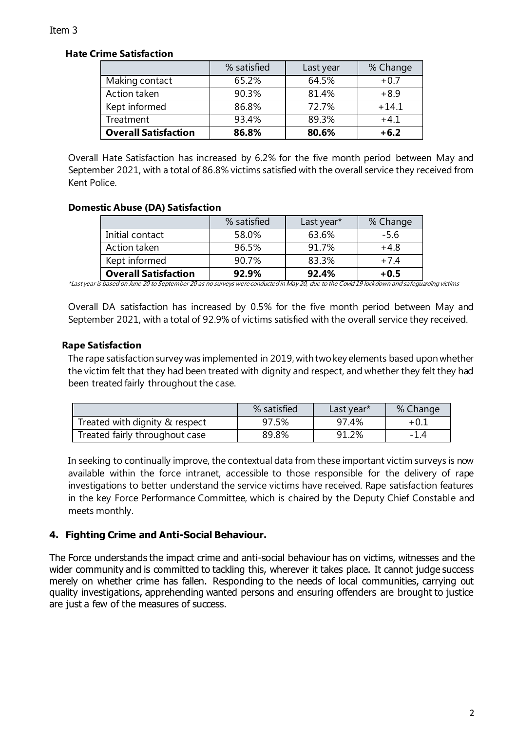### **Hate Crime Satisfaction**

|                             | % satisfied | Last year | % Change |
|-----------------------------|-------------|-----------|----------|
| Making contact              | 65.2%       | 64.5%     | $+0.7$   |
| Action taken                | 90.3%       | 81.4%     | $+8.9$   |
| Kept informed               | 86.8%       | 72.7%     | $+14.1$  |
| Treatment                   | 93.4%       | 89.3%     | $+4.1$   |
| <b>Overall Satisfaction</b> | 86.8%       | 80.6%     | $+6.2$   |

Overall Hate Satisfaction has increased by 6.2% for the five month period between May and September 2021, with a total of 86.8% victims satisfied with the overall service they received from Kent Police.

### **Domestic Abuse (DA) Satisfaction**

|                             | % satisfied | Last year* | % Change |
|-----------------------------|-------------|------------|----------|
| Initial contact             | 58.0%       | 63.6%      | $-5.6$   |
| Action taken                | 96.5%       | 91 7%      | $+4.8$   |
| Kept informed               | 90.7%       | 83.3%      | $+7.4$   |
| <b>Overall Satisfaction</b> | 92.9%       | 92.4%      | $+0.5$   |

\*Last year is based on June 20 to September 20 as no surveys were conducted in May 20, due to the Covid 19 lockdown and safeguarding victims

Overall DA satisfaction has increased by 0.5% for the five month period between May and September 2021, with a total of 92.9% of victims satisfied with the overall service they received.

# **Rape Satisfaction**

The rape satisfaction survey was implemented in 2019, with two key elements based upon whether the victim felt that they had been treated with dignity and respect, and whether they felt they had been treated fairly throughout the case.

|                                | % satisfied | Last year* | % Change |
|--------------------------------|-------------|------------|----------|
| Treated with dignity & respect | 97.5%       | 97.4%      | $+0.1$   |
| Treated fairly throughout case | 89.8%       | 91.2%      | $-1.4$   |

In seeking to continually improve, the contextual data from these important victim surveys is now available within the force intranet, accessible to those responsible for the delivery of rape investigations to better understand the service victims have received. Rape satisfaction features in the key Force Performance Committee, which is chaired by the Deputy Chief Constable and meets monthly.

# **4. Fighting Crime and Anti-Social Behaviour.**

The Force understands the impact crime and anti-social behaviour has on victims, witnesses and the wider community and is committed to tackling this, wherever it takes place. It cannot judge success merely on whether crime has fallen. Responding to the needs of local communities, carrying out quality investigations, apprehending wanted persons and ensuring offenders are brought to justice are just a few of the measures of success.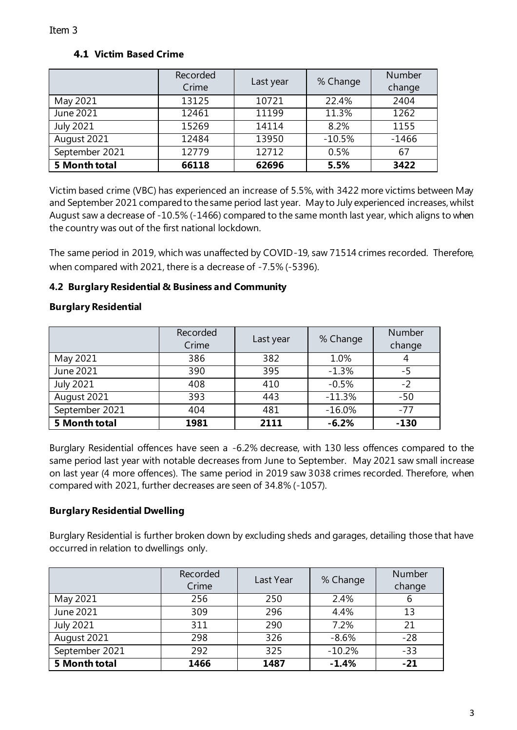|                  | Recorded<br>Crime | Last year | % Change | Number<br>change |
|------------------|-------------------|-----------|----------|------------------|
| May 2021         | 13125             | 10721     | 22.4%    | 2404             |
| June 2021        | 12461             | 11199     | 11.3%    | 1262             |
| <b>July 2021</b> | 15269             | 14114     | 8.2%     | 1155             |
| August 2021      | 12484             | 13950     | $-10.5%$ | $-1466$          |
| September 2021   | 12779             | 12712     | 0.5%     | 67               |
| 5 Month total    | 66118             | 62696     | 5.5%     | 3422             |

Victim based crime (VBC) has experienced an increase of 5.5%, with 3422 more victims between May and September 2021 compared to the same period last year. May to July experienced increases, whilst August saw a decrease of -10.5% (-1466) compared to the same month last year, which aligns to when the country was out of the first national lockdown.

The same period in 2019, which was unaffected by COVID-19, saw 71514 crimes recorded. Therefore, when compared with 2021, there is a decrease of -7.5% (-5396).

# **4.2 Burglary Residential & Business and Community**

### **Burglary Residential**

|                  | Recorded<br>Crime | Last year | % Change  | Number<br>change |
|------------------|-------------------|-----------|-----------|------------------|
| May 2021         | 386               | 382       | 1.0%      |                  |
| June $2021$      | 390               | 395       | $-1.3%$   | -5               |
| <b>July 2021</b> | 408               | 410       | $-0.5%$   | $-2$             |
| August 2021      | 393               | 443       | $-11.3\%$ | $-50$            |
| September 2021   | 404               | 481       | $-16.0%$  | $-77$            |
| 5 Month total    | 1981              | 2111      | $-6.2%$   | $-130$           |

Burglary Residential offences have seen a -6.2% decrease, with 130 less offences compared to the same period last year with notable decreases from June to September. May 2021 saw small increase on last year (4 more offences). The same period in 2019 saw 3038 crimes recorded. Therefore, when compared with 2021, further decreases are seen of 34.8% (-1057).

### **Burglary Residential Dwelling**

Burglary Residential is further broken down by excluding sheds and garages, detailing those that have occurred in relation to dwellings only.

|                | Recorded<br>Crime | Last Year | % Change | Number<br>change |
|----------------|-------------------|-----------|----------|------------------|
| May 2021       | 256               | 250       | 2.4%     |                  |
| June 2021      | 309               | 296       | 4.4%     | 13               |
| July 2021      | 311               | 290       | 7.2%     | 21               |
| August 2021    | 298               | 326       | $-8.6%$  | $-28$            |
| September 2021 | 292               | 325       | $-10.2%$ | $-33$            |
| 5 Month total  | 1466              | 1487      | $-1.4%$  | $-21$            |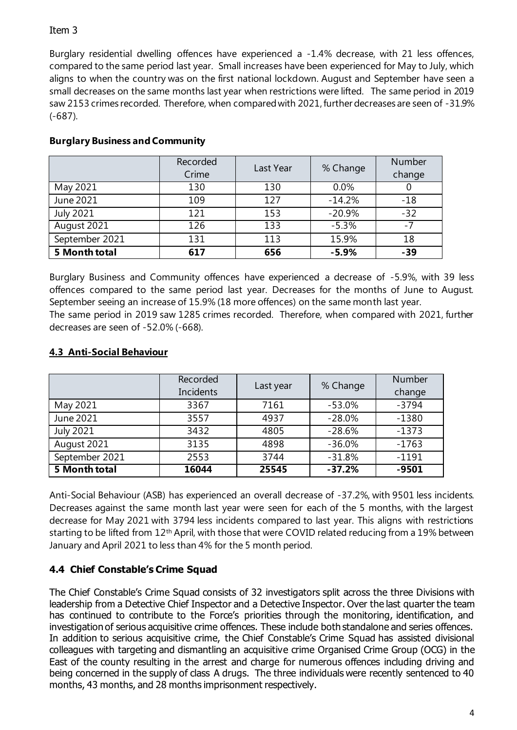Burglary residential dwelling offences have experienced a -1.4% decrease, with 21 less offences, compared to the same period last year. Small increases have been experienced for May to July, which aligns to when the country was on the first national lockdown. August and September have seen a small decreases on the same months last year when restrictions were lifted. The same period in 2019 saw 2153 crimes recorded. Therefore, when compared with 2021, further decreases are seen of -31.9% (-687).

|                  | Recorded<br>Crime | Last Year | % Change | Number<br>change |
|------------------|-------------------|-----------|----------|------------------|
| May 2021         | 130               | 130       | 0.0%     |                  |
| June 2021        | 109               | 127       | $-14.2%$ | $-18$            |
| <b>July 2021</b> | 121               | 153       | $-20.9%$ | $-32$            |
| August 2021      | 126               | 133       | $-5.3%$  | -7               |
| September 2021   | 131               | 113       | 15.9%    | 18               |
| 5 Month total    | 617               | 656       | $-5.9%$  | $-39$            |

# **Burglary Business and Community**

Burglary Business and Community offences have experienced a decrease of -5.9%, with 39 less offences compared to the same period last year. Decreases for the months of June to August. September seeing an increase of 15.9% (18 more offences) on the same month last year. The same period in 2019 saw 1285 crimes recorded. Therefore, when compared with 2021, further decreases are seen of -52.0% (-668).

# **4.3 Anti-Social Behaviour**

|                        | Recorded<br>Incidents | Last year | % Change | Number<br>change |
|------------------------|-----------------------|-----------|----------|------------------|
| May 2021               | 3367                  | 7161      | $-53.0%$ | $-3794$          |
| June 2021              | 3557                  | 4937      | $-28.0%$ | $-1380$          |
| July $20\overline{21}$ | 3432                  | 4805      | $-28.6%$ | $-1373$          |
| August 2021            | 3135                  | 4898      | $-36.0%$ | $-1763$          |
| September 2021         | 2553                  | 3744      | $-31.8%$ | $-1191$          |
| 5 Month total          | 16044                 | 25545     | $-37.2%$ | $-9501$          |

Anti-Social Behaviour (ASB) has experienced an overall decrease of -37.2%, with 9501 less incidents. Decreases against the same month last year were seen for each of the 5 months, with the largest decrease for May 2021 with 3794 less incidents compared to last year. This aligns with restrictions starting to be lifted from 12<sup>th</sup> April, with those that were COVID related reducing from a 19% between January and April 2021 to less than 4% for the 5 month period.

# **4.4 Chief Constable's Crime Squad**

The Chief Constable's Crime Squad consists of 32 investigators split across the three Divisions with leadership from a Detective Chief Inspector and a Detective Inspector. Over the last quarter the team has continued to contribute to the Force's priorities through the monitoring, identification, and investigation of serious acquisitive crime offences. These include both standalone and series offences. In addition to serious acquisitive crime, the Chief Constable's Crime Squad has assisted divisional colleagues with targeting and dismantling an acquisitive crime Organised Crime Group (OCG) in the East of the county resulting in the arrest and charge for numerous offences including driving and being concerned in the supply of class A drugs. The three individuals were recently sentenced to 40 months, 43 months, and 28 months imprisonment respectively.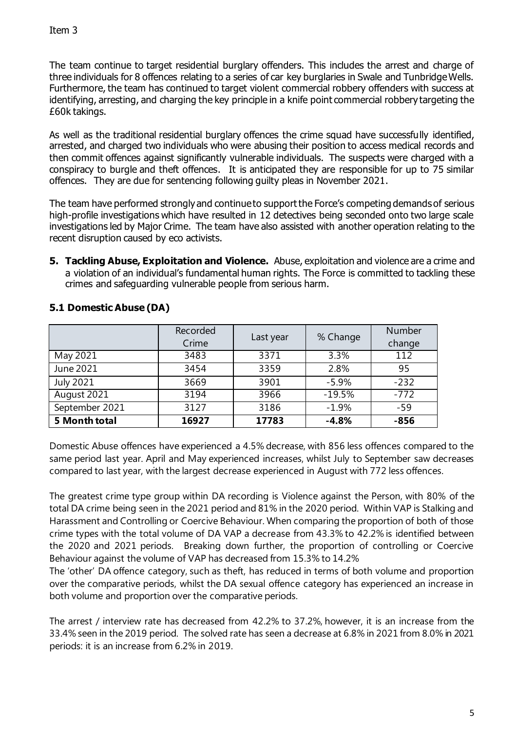The team continue to target residential burglary offenders. This includes the arrest and charge of three individuals for 8 offences relating to a series of car key burglaries in Swale and Tunbridge Wells. Furthermore, the team has continued to target violent commercial robbery offenders with success at identifying, arresting, and charging the key principle in a knife point commercial robbery targeting the £60k takings.

As well as the traditional residential burglary offences the crime squad have successfully identified, arrested, and charged two individuals who were abusing their position to access medical records and then commit offences against significantly vulnerable individuals. The suspects were charged with a conspiracy to burgle and theft offences. It is anticipated they are responsible for up to 75 similar offences. They are due for sentencing following guilty pleas in November 2021.

The team have performed strongly and continue to support the Force's competing demands of serious high-profile investigations which have resulted in 12 detectives being seconded onto two large scale investigations led by Major Crime. The team have also assisted with another operation relating to the recent disruption caused by eco activists.

**5. Tackling Abuse, Exploitation and Violence.** Abuse, exploitation and violence are a crime and a violation of an individual's fundamental human rights. The Force is committed to tackling these crimes and safeguarding vulnerable people from serious harm.

|                  | Recorded<br>Crime | Last year | % Change | Number<br>change |
|------------------|-------------------|-----------|----------|------------------|
| May 2021         | 3483              | 3371      | 3.3%     | 112              |
| June 2021        | 3454              | 3359      | 2.8%     | 95               |
| <b>July 2021</b> | 3669              | 3901      | $-5.9%$  | $-232$           |
| August 2021      | 3194              | 3966      | $-19.5%$ | $-772$           |
| September 2021   | 3127              | 3186      | $-1.9%$  | $-59$            |
| 5 Month total    | 16927             | 17783     | $-4.8%$  | $-856$           |

### **5.1 Domestic Abuse (DA)**

Domestic Abuse offences have experienced a 4.5% decrease, with 856 less offences compared to the same period last year. April and May experienced increases, whilst July to September saw decreases compared to last year, with the largest decrease experienced in August with 772 less offences.

The greatest crime type group within DA recording is Violence against the Person, with 80% of the total DA crime being seen in the 2021 period and 81% in the 2020 period. Within VAP is Stalking and Harassment and Controlling or Coercive Behaviour. When comparing the proportion of both of those crime types with the total volume of DA VAP a decrease from 43.3% to 42.2% is identified between the 2020 and 2021 periods. Breaking down further, the proportion of controlling or Coercive Behaviour against the volume of VAP has decreased from 15.3% to 14.2%

The 'other' DA offence category, such as theft, has reduced in terms of both volume and proportion over the comparative periods, whilst the DA sexual offence category has experienced an increase in both volume and proportion over the comparative periods.

The arrest / interview rate has decreased from 42.2% to 37.2%, however, it is an increase from the 33.4% seen in the 2019 period. The solved rate has seen a decrease at 6.8% in 2021 from 8.0% in 2021 periods: it is an increase from 6.2% in 2019.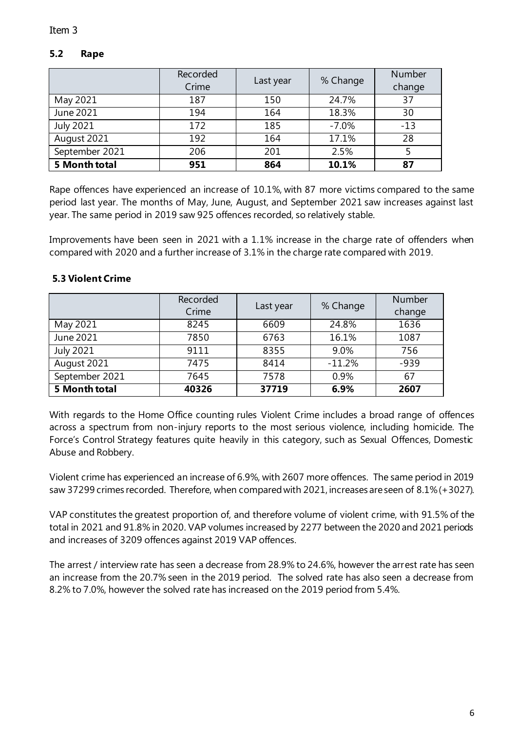### **5.2 Rape**

|                  | Recorded<br>Crime | Last year | % Change | Number<br>change |
|------------------|-------------------|-----------|----------|------------------|
| May 2021         | 187               | 150       | 24.7%    | 37               |
| June 2021        | 194               | 164       | 18.3%    | 30               |
| <b>July 2021</b> | 172               | 185       | $-7.0%$  | $-13$            |
| August 2021      | 192               | 164       | 17.1%    | 28               |
| September 2021   | 206               | 201       | 2.5%     |                  |
| 5 Month total    | 951               | 864       | 10.1%    | 87               |

Rape offences have experienced an increase of 10.1%, with 87 more victims compared to the same period last year. The months of May, June, August, and September 2021 saw increases against last year. The same period in 2019 saw 925 offences recorded, so relatively stable.

Improvements have been seen in 2021 with a 1.1% increase in the charge rate of offenders when compared with 2020 and a further increase of 3.1% in the charge rate compared with 2019.

|                  | Recorded<br>Crime | Last year | % Change | Number<br>change |
|------------------|-------------------|-----------|----------|------------------|
| May 2021         | 8245              | 6609      | 24.8%    | 1636             |
| June 2021        | 7850              | 6763      | 16.1%    | 1087             |
| <b>July 2021</b> | 9111              | 8355      | 9.0%     | 756              |
| August 2021      | 7475              | 8414      | $-11.2%$ | $-939$           |
| September 2021   | 7645              | 7578      | 0.9%     | 67               |
| 5 Month total    | 40326             | 37719     | 6.9%     | 2607             |

#### **5.3 Violent Crime**

With regards to the Home Office counting rules Violent Crime includes a broad range of offences across a spectrum from non-injury reports to the most serious violence, including homicide. The Force's Control Strategy features quite heavily in this category, such as Sexual Offences, Domestic Abuse and Robbery.

Violent crime has experienced an increase of 6.9%, with 2607 more offences. The same period in 2019 saw 37299 crimes recorded. Therefore, when compared with 2021, increases are seen of 8.1% (+3027).

VAP constitutes the greatest proportion of, and therefore volume of violent crime, with 91.5% of the total in 2021 and 91.8% in 2020. VAP volumes increased by 2277 between the 2020 and 2021 periods and increases of 3209 offences against 2019 VAP offences.

The arrest / interview rate has seen a decrease from 28.9% to 24.6%, however the arrest rate has seen an increase from the 20.7% seen in the 2019 period. The solved rate has also seen a decrease from 8.2% to 7.0%, however the solved rate has increased on the 2019 period from 5.4%.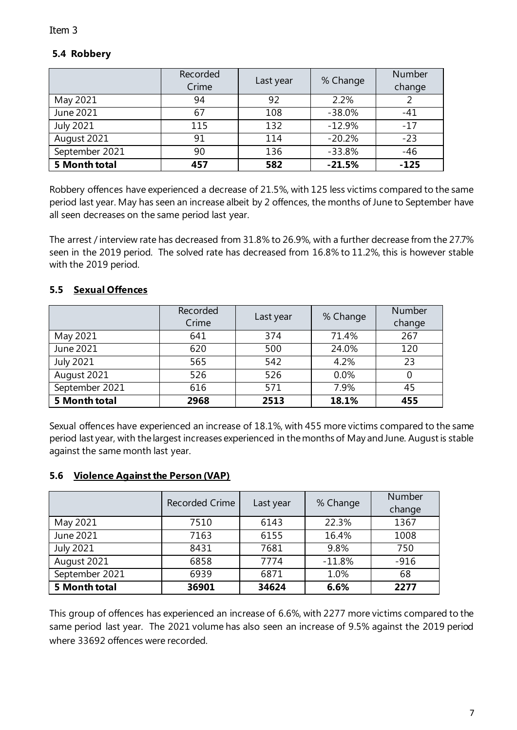### **5.4 Robbery**

|                  | Recorded<br>Crime | Last year | % Change | Number<br>change |
|------------------|-------------------|-----------|----------|------------------|
| May 2021         | 94                | 92        | 2.2%     |                  |
| June 2021        | 67                | 108       | $-38.0%$ | $-41$            |
| <b>July 2021</b> | 115               | 132       | $-12.9%$ | $-17$            |
| August 2021      | 91                | 114       | $-20.2%$ | $-23$            |
| September 2021   | 90                | 136       | $-33.8%$ | $-46$            |
| 5 Month total    | 457               | 582       | $-21.5%$ | $-125$           |

Robbery offences have experienced a decrease of 21.5%, with 125 less victims compared to the same period last year. May has seen an increase albeit by 2 offences, the months of June to September have all seen decreases on the same period last year.

The arrest / interview rate has decreased from 31.8% to 26.9%, with a further decrease from the 27.7% seen in the 2019 period. The solved rate has decreased from 16.8% to 11.2%, this is however stable with the 2019 period.

### **5.5 Sexual Offences**

|                  | Recorded<br>Crime | Last year | % Change | Number<br>change |
|------------------|-------------------|-----------|----------|------------------|
| May 2021         | 641               | 374       | 71.4%    | 267              |
| June $2021$      | 620               | 500       | 24.0%    | 120              |
| <b>July 2021</b> | 565               | 542       | 4.2%     | 23               |
| August 2021      | 526               | 526       | 0.0%     |                  |
| September 2021   | 616               | 571       | 7.9%     | 45               |
| 5 Month total    | 2968              | 2513      | 18.1%    | 455              |

Sexual offences have experienced an increase of 18.1%, with 455 more victims compared to the same period last year, with the largest increases experienced in the months of May and June. August is stable against the same month last year.

### **5.6 Violence Against the Person (VAP)**

|                  | <b>Recorded Crime</b> | Last year | % Change | Number<br>change |
|------------------|-----------------------|-----------|----------|------------------|
| May 2021         | 7510                  | 6143      | 22.3%    | 1367             |
| June 2021        | 7163                  | 6155      | 16.4%    | 1008             |
| <b>July 2021</b> | 8431                  | 7681      | 9.8%     | 750              |
| August 2021      | 6858                  | 7774      | $-11.8%$ | $-916$           |
| September 2021   | 6939                  | 6871      | 1.0%     | 68               |
| 5 Month total    | 36901                 | 34624     | 6.6%     | 2277             |

This group of offences has experienced an increase of 6.6%, with 2277 more victims compared to the same period last year. The 2021 volume has also seen an increase of 9.5% against the 2019 period where 33692 offences were recorded.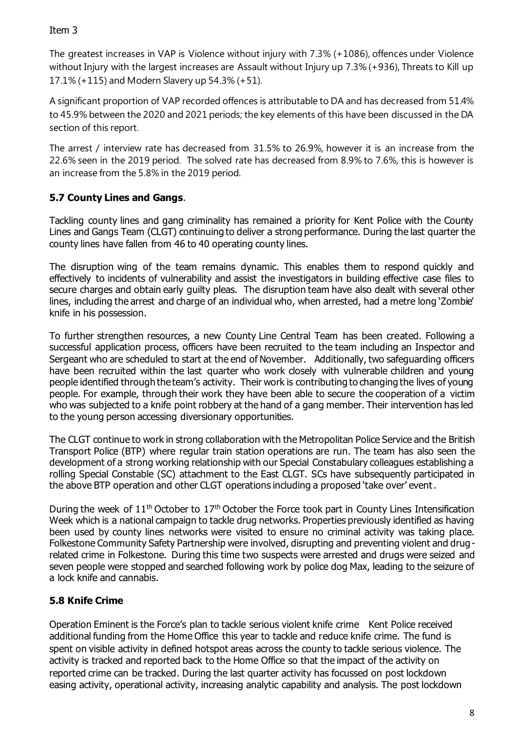The greatest increases in VAP is Violence without injury with 7.3% (+1086), offences under Violence without Injury with the largest increases are Assault without Injury up 7.3% (+936), Threats to Kill up 17.1% (+115) and Modern Slavery up 54.3% (+51).

A significant proportion of VAP recorded offences is attributable to DA and has decreased from 51.4% to 45.9% between the 2020 and 2021 periods; the key elements of this have been discussed in the DA section of this report.

The arrest / interview rate has decreased from 31.5% to 26.9%, however it is an increase from the 22.6% seen in the 2019 period. The solved rate has decreased from 8.9% to 7.6%, this is however is an increase from the 5.8% in the 2019 period.

# **5.7 County Lines and Gangs**.

Tackling county lines and gang criminality has remained a priority for Kent Police with the County Lines and Gangs Team (CLGT) continuing to deliver a strong performance. During the last quarter the county lines have fallen from 46 to 40 operating county lines.

The disruption wing of the team remains dynamic. This enables them to respond quickly and effectively to incidents of vulnerability and assist the investigators in building effective case files to secure charges and obtain early guilty pleas. The disruption team have also dealt with several other lines, including the arrest and charge of an individual who, when arrested, had a metre long 'Zombie' knife in his possession.

To further strengthen resources, a new County Line Central Team has been created. Following a successful application process, officers have been recruited to the team including an Inspector and Sergeant who are scheduled to start at the end of November. Additionally, two safeguarding officers have been recruited within the last quarter who work closely with vulnerable children and young people identified through the team's activity. Their work is contributing to changing the lives of young people. For example, through their work they have been able to secure the cooperation of a victim who was subjected to a knife point robbery at the hand of a gang member. Their intervention has led to the young person accessing diversionary opportunities.

The CLGT continue to work in strong collaboration with the Metropolitan Police Service and the British Transport Police (BTP) where regular train station operations are run. The team has also seen the development of a strong working relationship with our Special Constabulary colleagues establishing a rolling Special Constable (SC) attachment to the East CLGT. SCs have subsequently participated in the above BTP operation and other CLGT operations including a proposed 'take over' event.

During the week of 11<sup>th</sup> October to 17<sup>th</sup> October the Force took part in County Lines Intensification Week which is a national campaign to tackle drug networks. Properties previously identified as having been used by county lines networks were visited to ensure no criminal activity was taking place. Folkestone Community Safety Partnership were involved, disrupting and preventing violent and drugrelated crime in Folkestone. During this time two suspects were arrested and drugs were seized and seven people were stopped and searched following work by police dog Max, leading to the seizure of a lock knife and cannabis.

# **5.8 Knife Crime**

Operation Eminent is the Force's plan to tackle serious violent knife crime Kent Police received additional funding from the Home Office this year to tackle and reduce knife crime. The fund is spent on visible activity in defined hotspot areas across the county to tackle serious violence. The activity is tracked and reported back to the Home Office so that the impact of the activity on reported crime can be tracked. During the last quarter activity has focussed on post lockdown easing activity, operational activity, increasing analytic capability and analysis. The post lockdown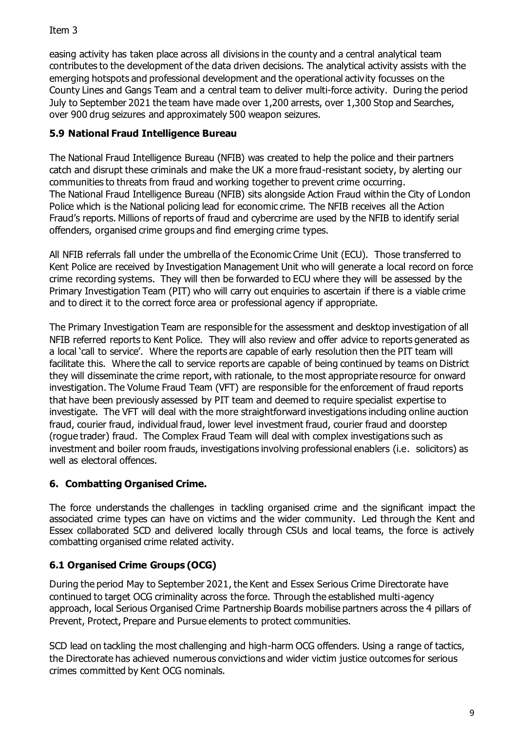easing activity has taken place across all divisions in the county and a central analytical team contributes to the development of the data driven decisions. The analytical activity assists with the emerging hotspots and professional development and the operational activity focusses on the County Lines and Gangs Team and a central team to deliver multi-force activity. During the period July to September 2021 the team have made over 1,200 arrests, over 1,300 Stop and Searches, over 900 drug seizures and approximately 500 weapon seizures.

# **5.9 National Fraud Intelligence Bureau**

The National Fraud Intelligence Bureau (NFIB) was created to help the police and their partners catch and disrupt these criminals and make the UK a more fraud-resistant society, by alerting our communities to threats from fraud and working together to prevent crime occurring. The National Fraud Intelligence Bureau (NFIB) sits alongside Action Fraud within the City of London Police which is the National policing lead for economic crime. The NFIB receives all the Action Fraud's reports. Millions of reports of fraud and cybercrime are used by the NFIB to identify serial offenders, organised crime groups and find emerging crime types.

All NFIB referrals fall under the umbrella of the Economic Crime Unit (ECU). Those transferred to Kent Police are received by Investigation Management Unit who will generate a local record on force crime recording systems. They will then be forwarded to ECU where they will be assessed by the Primary Investigation Team (PIT) who will carry out enquiries to ascertain if there is a viable crime and to direct it to the correct force area or professional agency if appropriate.

The Primary Investigation Team are responsible for the assessment and desktop investigation of all NFIB referred reports to Kent Police. They will also review and offer advice to reports generated as a local 'call to service'. Where the reports are capable of early resolution then the PIT team will facilitate this. Where the call to service reports are capable of being continued by teams on District they will disseminate the crime report, with rationale, to the most appropriate resource for onward investigation. The Volume Fraud Team (VFT) are responsible for the enforcement of fraud reports that have been previously assessed by PIT team and deemed to require specialist expertise to investigate. The VFT will deal with the more straightforward investigations including online auction fraud, courier fraud, individual fraud, lower level investment fraud, courier fraud and doorstep (rogue trader) fraud. The Complex Fraud Team will deal with complex investigations such as investment and boiler room frauds, investigations involving professional enablers (i.e. solicitors) as well as electoral offences.

# **6. Combatting Organised Crime.**

The force understands the challenges in tackling organised crime and the significant impact the associated crime types can have on victims and the wider community. Led through the Kent and Essex collaborated SCD and delivered locally through CSUs and local teams, the force is actively combatting organised crime related activity.

# **6.1 Organised Crime Groups (OCG)**

During the period May to September 2021, the Kent and Essex Serious Crime Directorate have continued to target OCG criminality across the force. Through the established multi-agency approach, local Serious Organised Crime Partnership Boards mobilise partners across the 4 pillars of Prevent, Protect, Prepare and Pursue elements to protect communities.

SCD lead on tackling the most challenging and high-harm OCG offenders. Using a range of tactics, the Directorate has achieved numerous convictions and wider victim justice outcomes for serious crimes committed by Kent OCG nominals.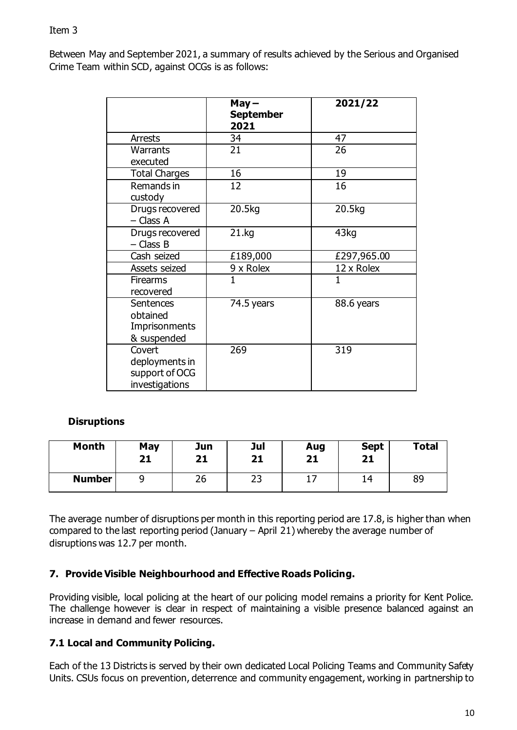Between May and September 2021, a summary of results achieved by the Serious and Organised Crime Team within SCD, against OCGs is as follows:

|                                                              | $May -$<br><b>September</b><br>2021 | 2021/22      |
|--------------------------------------------------------------|-------------------------------------|--------------|
| <b>Arrests</b>                                               | 34                                  | 47           |
| Warrants<br>executed                                         | 21                                  | 26           |
| <b>Total Charges</b>                                         | 16                                  | 19           |
| Remands in<br>custody                                        | 12                                  | 16           |
| Drugs recovered<br>- Class A                                 | 20.5kg                              | 20.5kg       |
| Drugs recovered<br>- Class B                                 | 21.kg                               | 43kg         |
| Cash seized                                                  | £189,000                            | £297,965.00  |
| Assets seized                                                | 9 x Rolex                           | 12 x Rolex   |
| <b>Firearms</b><br>recovered                                 | $\mathbf{1}$                        | $\mathbf{1}$ |
| <b>Sentences</b><br>obtained<br>Imprisonments<br>& suspended | 74.5 years                          | 88.6 years   |
| Covert<br>deployments in<br>support of OCG<br>investigations | 269                                 | 319          |

### **Disruptions**

| <b>Month</b>  | May<br>21 | Jun<br>21 | Jul<br>21 | Aug<br>21 | <b>Sept</b><br>21 | <b>Total</b> |
|---------------|-----------|-----------|-----------|-----------|-------------------|--------------|
| <b>Number</b> |           | 26        | רר<br>رے  | ÷,        | 14                | 89           |

The average number of disruptions per month in this reporting period are 17.8, is higher than when compared to the last reporting period (January – April 21) whereby the average number of disruptions was 12.7 per month.

### **7. Provide Visible Neighbourhood and Effective Roads Policing.**

Providing visible, local policing at the heart of our policing model remains a priority for Kent Police. The challenge however is clear in respect of maintaining a visible presence balanced against an increase in demand and fewer resources.

### **7.1 Local and Community Policing.**

Each of the 13 Districts is served by their own dedicated Local Policing Teams and Community Safety Units. CSUs focus on prevention, deterrence and community engagement, working in partnership to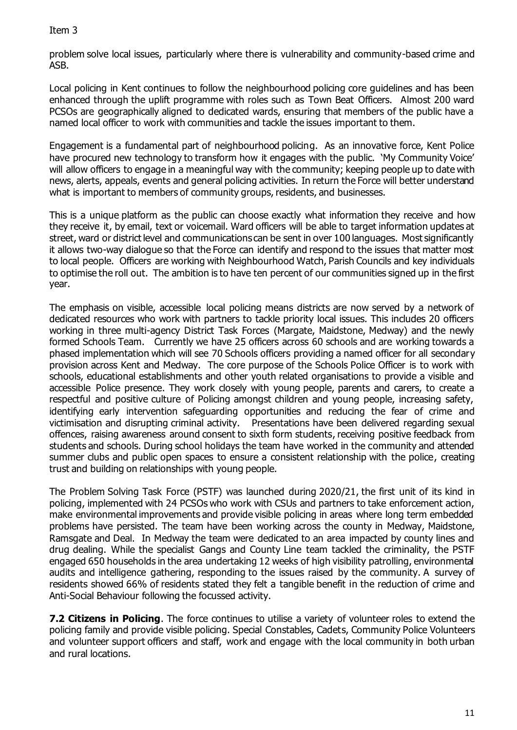problem solve local issues, particularly where there is vulnerability and community-based crime and ASB.

Local policing in Kent continues to follow the neighbourhood policing core guidelines and has been enhanced through the uplift programme with roles such as Town Beat Officers. Almost 200 ward PCSOs are geographically aligned to dedicated wards, ensuring that members of the public have a named local officer to work with communities and tackle the issues important to them.

Engagement is a fundamental part of neighbourhood policing. As an innovative force, Kent Police have procured new technology to transform how it engages with the public. 'My Community Voice' will allow officers to engage in a meaningful way with the community; keeping people up to date with news, alerts, appeals, events and general policing activities. In return the Force will better understand what is important to members of community groups, residents, and businesses.

This is a unique platform as the public can choose exactly what information they receive and how they receive it, by email, text or voicemail. Ward officers will be able to target information updates at street, ward or district level and communications can be sent in over 100 languages. Most significantly it allows two-way dialogue so that the Force can identify and respond to the issues that matter most to local people. Officers are working with Neighbourhood Watch, Parish Councils and key individuals to optimise the roll out. The ambition is to have ten percent of our communities signed up in the first year.

The emphasis on visible, accessible local policing means districts are now served by a network of dedicated resources who work with partners to tackle priority local issues. This includes 20 officers working in three multi-agency District Task Forces (Margate, Maidstone, Medway) and the newly formed Schools Team. Currently we have 25 officers across 60 schools and are working towards a phased implementation which will see 70 Schools officers providing a named officer for all secondary provision across Kent and Medway. The core purpose of the Schools Police Officer is to work with schools, educational establishments and other youth related organisations to provide a visible and accessible Police presence. They work closely with young people, parents and carers, to create a respectful and positive culture of Policing amongst children and young people, increasing safety, identifying early intervention safeguarding opportunities and reducing the fear of crime and victimisation and disrupting criminal activity. Presentations have been delivered regarding sexual offences, raising awareness around consent to sixth form students, receiving positive feedback from students and schools. During school holidays the team have worked in the community and attended summer clubs and public open spaces to ensure a consistent relationship with the police, creating trust and building on relationships with young people.

The Problem Solving Task Force (PSTF) was launched during 2020/21, the first unit of its kind in policing, implemented with 24 PCSOs who work with CSUs and partners to take enforcement action, make environmental improvements and provide visible policing in areas where long term embedded problems have persisted. The team have been working across the county in Medway, Maidstone, Ramsgate and Deal. In Medway the team were dedicated to an area impacted by county lines and drug dealing. While the specialist Gangs and County Line team tackled the criminality, the PSTF engaged 650 households in the area undertaking 12 weeks of high visibility patrolling, environmental audits and intelligence gathering, responding to the issues raised by the community. A survey of residents showed 66% of residents stated they felt a tangible benefit in the reduction of crime and Anti-Social Behaviour following the focussed activity.

**7.2 Citizens in Policing**. The force continues to utilise a variety of volunteer roles to extend the policing family and provide visible policing. Special Constables, Cadets, Community Police Volunteers and volunteer support officers and staff, work and engage with the local community in both urban and rural locations.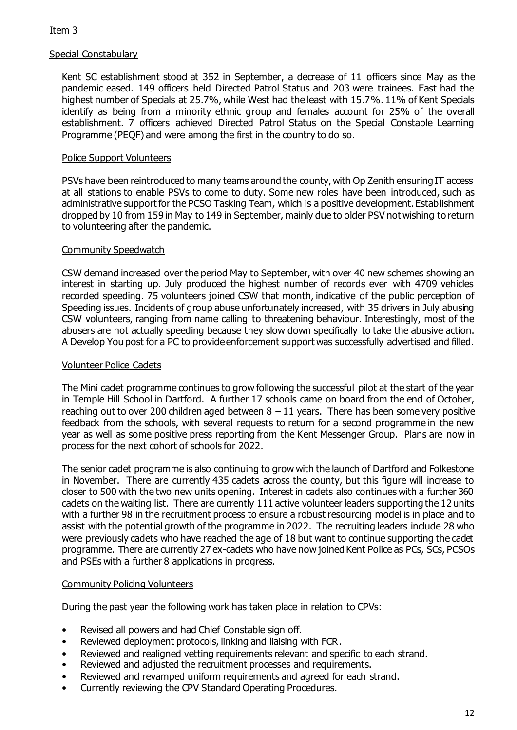### Special Constabulary

Kent SC establishment stood at 352 in September, a decrease of 11 officers since May as the pandemic eased. 149 officers held Directed Patrol Status and 203 were trainees. East had the highest number of Specials at 25.7%, while West had the least with 15.7%. 11% of Kent Specials identify as being from a minority ethnic group and females account for 25% of the overall establishment. 7 officers achieved Directed Patrol Status on the Special Constable Learning Programme (PEQF) and were among the first in the country to do so.

#### Police Support Volunteers

PSVs have been reintroduced to many teams around the county, with Op Zenith ensuring IT access at all stations to enable PSVs to come to duty. Some new roles have been introduced, such as administrative support for the PCSO Tasking Team, which is a positive development. Establishment dropped by 10 from 159 in May to 149 in September, mainly due to older PSV not wishing to return to volunteering after the pandemic.

#### Community Speedwatch

CSW demand increased over the period May to September, with over 40 new schemes showing an interest in starting up. July produced the highest number of records ever with 4709 vehicles recorded speeding. 75 volunteers joined CSW that month, indicative of the public perception of Speeding issues. Incidents of group abuse unfortunately increased, with 35 drivers in July abusing CSW volunteers, ranging from name calling to threatening behaviour. Interestingly, most of the abusers are not actually speeding because they slow down specifically to take the abusive action. A Develop You post for a PC to provide enforcement support was successfully advertised and filled.

#### Volunteer Police Cadets

The Mini cadet programme continues to grow following the successful pilot at the start of the year in Temple Hill School in Dartford. A further 17 schools came on board from the end of October, reaching out to over 200 children aged between  $8 - 11$  years. There has been some very positive feedback from the schools, with several requests to return for a second programme in the new year as well as some positive press reporting from the Kent Messenger Group. Plans are now in process for the next cohort of schools for 2022.

The senior cadet programme is also continuing to grow with the launch of Dartford and Folkestone in November. There are currently 435 cadets across the county, but this figure will increase to closer to 500 with the two new units opening. Interest in cadets also continues with a further 360 cadets on the waiting list. There are currently 111 active volunteer leaders supporting the 12 units with a further 98 in the recruitment process to ensure a robust resourcing model is in place and to assist with the potential growth of the programme in 2022. The recruiting leaders include 28 who were previously cadets who have reached the age of 18 but want to continue supporting the cadet programme. There are currently 27 ex-cadets who have now joined Kent Police as PCs, SCs, PCSOs and PSEs with a further 8 applications in progress.

#### Community Policing Volunteers

During the past year the following work has taken place in relation to CPVs:

- Revised all powers and had Chief Constable sign off.
- Reviewed deployment protocols, linking and liaising with FCR.
- Reviewed and realigned vetting requirements relevant and specific to each strand.
- Reviewed and adjusted the recruitment processes and requirements.
- Reviewed and revamped uniform requirements and agreed for each strand.
- Currently reviewing the CPV Standard Operating Procedures.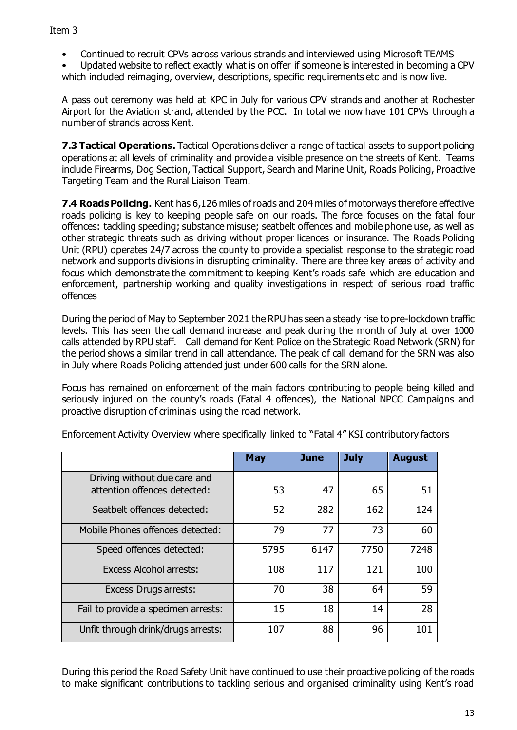• Continued to recruit CPVs across various strands and interviewed using Microsoft TEAMS

• Updated website to reflect exactly what is on offer if someone is interested in becoming a CPV which included reimaging, overview, descriptions, specific requirements etc and is now live.

A pass out ceremony was held at KPC in July for various CPV strands and another at Rochester Airport for the Aviation strand, attended by the PCC. In total we now have 101 CPVs through a number of strands across Kent.

**7.3 Tactical Operations.** Tactical Operations deliver a range of tactical assets to support policing operations at all levels of criminality and provide a visible presence on the streets of Kent. Teams include Firearms, Dog Section, Tactical Support, Search and Marine Unit, Roads Policing, Proactive Targeting Team and the Rural Liaison Team.

**7.4 Roads Policing.** Kent has 6,126 miles of roads and 204 miles of motorways therefore effective roads policing is key to keeping people safe on our roads. The force focuses on the fatal four offences: tackling speeding; substance misuse; seatbelt offences and mobile phone use, as well as other strategic threats such as driving without proper licences or insurance. The Roads Policing Unit (RPU) operates 24/7 across the county to provide a specialist response to the strategic road network and supports divisions in disrupting criminality. There are three key areas of activity and focus which demonstrate the commitment to keeping Kent's roads safe which are education and enforcement, partnership working and quality investigations in respect of serious road traffic offences

During the period of May to September 2021 the RPU has seen a steady rise to pre-lockdown traffic levels. This has seen the call demand increase and peak during the month of July at over 1000 calls attended by RPU staff. Call demand for Kent Police on the Strategic Road Network (SRN) for the period shows a similar trend in call attendance. The peak of call demand for the SRN was also in July where Roads Policing attended just under 600 calls for the SRN alone.

Focus has remained on enforcement of the main factors contributing to people being killed and seriously injured on the county's roads (Fatal 4 offences), the National NPCC Campaigns and proactive disruption of criminals using the road network.

|                                     | <b>May</b> | June | <b>July</b> | <b>August</b> |
|-------------------------------------|------------|------|-------------|---------------|
| Driving without due care and        |            |      |             |               |
| attention offences detected:        | 53         | 47   | 65          | 51            |
| Seatbelt offences detected:         | 52         | 282  | 162         | 124           |
| Mobile Phones offences detected:    | 79         | 77   | 73          | 60            |
| Speed offences detected:            | 5795       | 6147 | 7750        | 7248          |
| <b>Excess Alcohol arrests:</b>      | 108        | 117  | 121         | 100           |
| Excess Drugs arrests:               | 70         | 38   | 64          | 59            |
| Fail to provide a specimen arrests: | 15         | 18   | 14          | 28            |
| Unfit through drink/drugs arrests:  | 107        | 88   | 96          | 101           |

Enforcement Activity Overview where specifically linked to "Fatal 4" KSI contributory factors

During this period the Road Safety Unit have continued to use their proactive policing of the roads to make significant contributions to tackling serious and organised criminality using Kent's road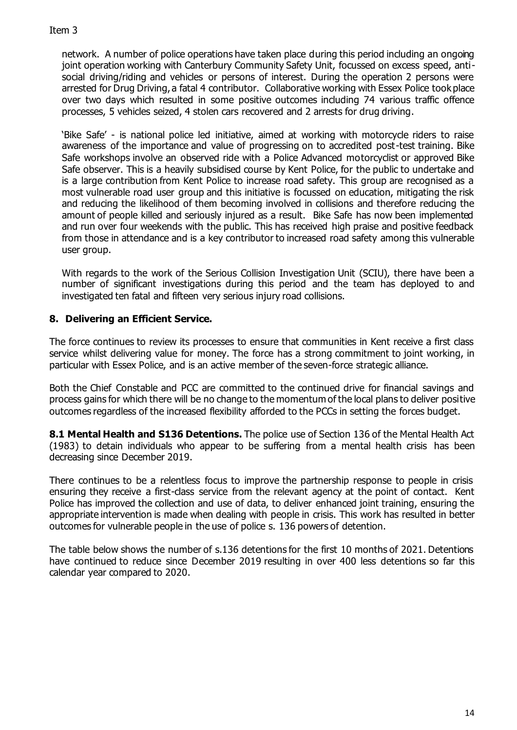network. A number of police operations have taken place during this period including an ongoing joint operation working with Canterbury Community Safety Unit, focussed on excess speed, antisocial driving/riding and vehicles or persons of interest. During the operation 2 persons were arrested for Drug Driving, a fatal 4 contributor. Collaborative working with Essex Police took place over two days which resulted in some positive outcomes including 74 various traffic offence processes, 5 vehicles seized, 4 stolen cars recovered and 2 arrests for drug driving.

'Bike Safe' - is national police led initiative, aimed at working with motorcycle riders to raise awareness of the importance and value of progressing on to accredited post-test training. Bike Safe workshops involve an observed ride with a Police Advanced motorcyclist or approved Bike Safe observer. This is a heavily subsidised course by Kent Police, for the public to undertake and is a large contribution from Kent Police to increase road safety. This group are recognised as a most vulnerable road user group and this initiative is focussed on education, mitigating the risk and reducing the likelihood of them becoming involved in collisions and therefore reducing the amount of people killed and seriously injured as a result. Bike Safe has now been implemented and run over four weekends with the public. This has received high praise and positive feedback from those in attendance and is a key contributor to increased road safety among this vulnerable user group.

With regards to the work of the Serious Collision Investigation Unit (SCIU), there have been a number of significant investigations during this period and the team has deployed to and investigated ten fatal and fifteen very serious injury road collisions.

# **8. Delivering an Efficient Service.**

The force continues to review its processes to ensure that communities in Kent receive a first class service whilst delivering value for money. The force has a strong commitment to joint working, in particular with Essex Police, and is an active member of the seven-force strategic alliance.

Both the Chief Constable and PCC are committed to the continued drive for financial savings and process gains for which there will be no change to the momentum of the local plans to deliver positive outcomes regardless of the increased flexibility afforded to the PCCs in setting the forces budget.

**8.1 Mental Health and S136 Detentions.** The police use of Section 136 of the Mental Health Act (1983) to detain individuals who appear to be suffering from a mental health crisis has been decreasing since December 2019.

There continues to be a relentless focus to improve the partnership response to people in crisis ensuring they receive a first-class service from the relevant agency at the point of contact. Kent Police has improved the collection and use of data, to deliver enhanced joint training, ensuring the appropriate intervention is made when dealing with people in crisis. This work has resulted in better outcomes for vulnerable people in the use of police s. 136 powers of detention.

The table below shows the number of s.136 detentions for the first 10 months of 2021. Detentions have continued to reduce since December 2019 resulting in over 400 less detentions so far this calendar year compared to 2020.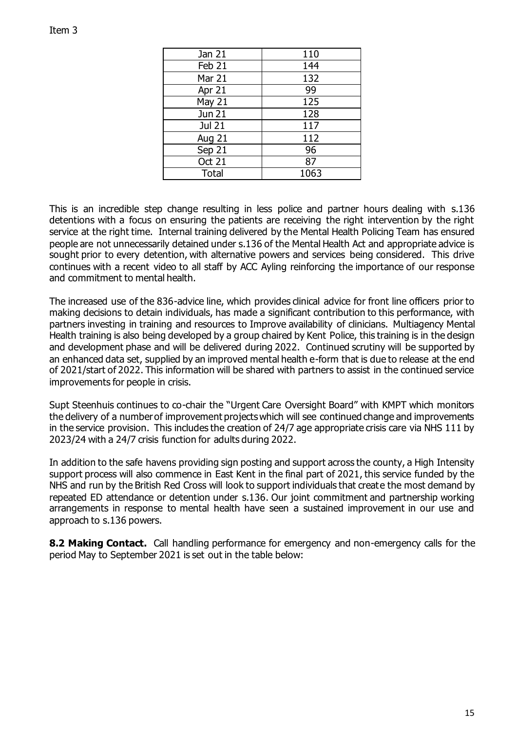| Jan 21        | 110  |
|---------------|------|
| Feb 21        | 144  |
| Mar 21        | 132  |
| Apr 21        | 99   |
| May 21        | 125  |
| Jun 21        | 128  |
| <b>Jul 21</b> | 117  |
| Aug 21        | 112  |
| Sep 21        | 96   |
| <b>Oct 21</b> | 87   |
| <b>Total</b>  | 1063 |

This is an incredible step change resulting in less police and partner hours dealing with s.136 detentions with a focus on ensuring the patients are receiving the right intervention by the right service at the right time. Internal training delivered by the Mental Health Policing Team has ensured people are not unnecessarily detained under s.136 of the Mental Health Act and appropriate advice is sought prior to every detention, with alternative powers and services being considered. This drive continues with a recent video to all staff by ACC Ayling reinforcing the importance of our response and commitment to mental health.

The increased use of the 836-advice line, which provides clinical advice for front line officers prior to making decisions to detain individuals, has made a significant contribution to this performance, with partners investing in training and resources to Improve availability of clinicians. Multiagency Mental Health training is also being developed by a group chaired by Kent Police, this training is in the design and development phase and will be delivered during 2022. Continued scrutiny will be supported by an enhanced data set, supplied by an improved mental health e-form that is due to release at the end of 2021/start of 2022. This information will be shared with partners to assist in the continued service improvements for people in crisis.

Supt Steenhuis continues to co-chair the "Urgent Care Oversight Board" with KMPT which monitors the delivery of a number of improvement projects which will see continued change and improvements in the service provision. This includes the creation of 24/7 age appropriate crisis care via NHS 111 by 2023/24 with a 24/7 crisis function for adults during 2022.

In addition to the safe havens providing sign posting and support across the county, a High Intensity support process will also commence in East Kent in the final part of 2021, this service funded by the NHS and run by the British Red Cross will look to support individuals that create the most demand by repeated ED attendance or detention under s.136. Our joint commitment and partnership working arrangements in response to mental health have seen a sustained improvement in our use and approach to s.136 powers.

**8.2 Making Contact.** Call handling performance for emergency and non-emergency calls for the period May to September 2021 is set out in the table below: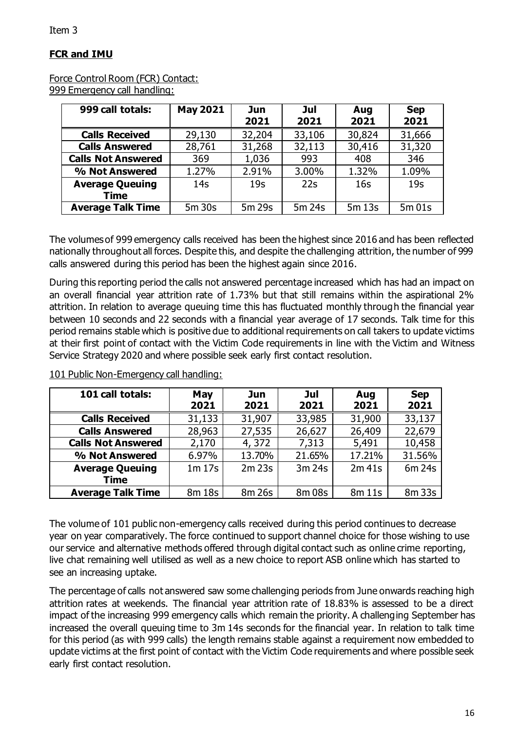# **FCR and IMU**

### Force Control Room (FCR) Contact: 999 Emergency call handling:

| 999 call totals:                      | <b>May 2021</b> | Jun<br>2021     | Jul<br>2021 | Aug<br>2021     | <b>Sep</b><br>2021 |
|---------------------------------------|-----------------|-----------------|-------------|-----------------|--------------------|
| <b>Calls Received</b>                 | 29,130          | 32,204          | 33,106      | 30,824          | 31,666             |
| <b>Calls Answered</b>                 | 28,761          | 31,268          | 32,113      | 30,416          | 31,320             |
| <b>Calls Not Answered</b>             | 369             | 1,036           | 993         | 408             | 346                |
| % Not Answered                        | 1.27%           | 2.91%           | 3.00%       | 1.32%           | 1.09%              |
| <b>Average Queuing</b><br><b>Time</b> | 14 <sub>S</sub> | 19 <sub>S</sub> | 22s         | 16 <sub>S</sub> | 19 <sub>S</sub>    |
| <b>Average Talk Time</b>              | 5m 30s          | 5m 29s          | 5m 24s      | 5m 13s          | 5m 01s             |

The volumes of 999 emergency calls received has been the highest since 2016 and has been reflected nationally throughout all forces. Despite this, and despite the challenging attrition, the number of 999 calls answered during this period has been the highest again since 2016.

During this reporting period the calls not answered percentage increased which has had an impact on an overall financial year attrition rate of 1.73% but that still remains within the aspirational 2% attrition. In relation to average queuing time this has fluctuated monthly through the financial year between 10 seconds and 22 seconds with a financial year average of 17 seconds. Talk time for this period remains stable which is positive due to additional requirements on call takers to update victims at their first point of contact with the Victim Code requirements in line with the Victim and Witness Service Strategy 2020 and where possible seek early first contact resolution.

| 101 call totals:               | May<br>2021 | Jun<br>2021 | Jul<br>2021 | Aug<br>2021 | <b>Sep</b><br>2021 |
|--------------------------------|-------------|-------------|-------------|-------------|--------------------|
| <b>Calls Received</b>          | 31,133      | 31,907      | 33,985      | 31,900      | 33,137             |
| <b>Calls Answered</b>          | 28,963      | 27,535      | 26,627      | 26,409      | 22,679             |
| <b>Calls Not Answered</b>      | 2,170       | 4,372       | 7,313       | 5,491       | 10,458             |
| % Not Answered                 | 6.97%       | 13.70%      | 21.65%      | 17.21%      | 31.56%             |
| <b>Average Queuing</b><br>Time | 1m 17s      | $2m$ 23s    | 3m 24s      | $2m$ 41s    | 6m 24s             |
| <b>Average Talk Time</b>       | 8m 18s      | 8m 26s      | 8m 08s      | 8m 11s      | 8m 33s             |

101 Public Non-Emergency call handling:

The volume of 101 public non-emergency calls received during this period continues to decrease year on year comparatively. The force continued to support channel choice for those wishing to use our service and alternative methods offered through digital contact such as online crime reporting, live chat remaining well utilised as well as a new choice to report ASB online which has started to see an increasing uptake.

The percentage of calls not answered saw some challenging periods from June onwards reaching high attrition rates at weekends. The financial year attrition rate of 18.83% is assessed to be a direct impact of the increasing 999 emergency calls which remain the priority. A challenging September has increased the overall queuing time to 3m 14s seconds for the financial year. In relation to talk time for this period (as with 999 calls) the length remains stable against a requirement now embedded to update victims at the first point of contact with the Victim Code requirements and where possible seek early first contact resolution.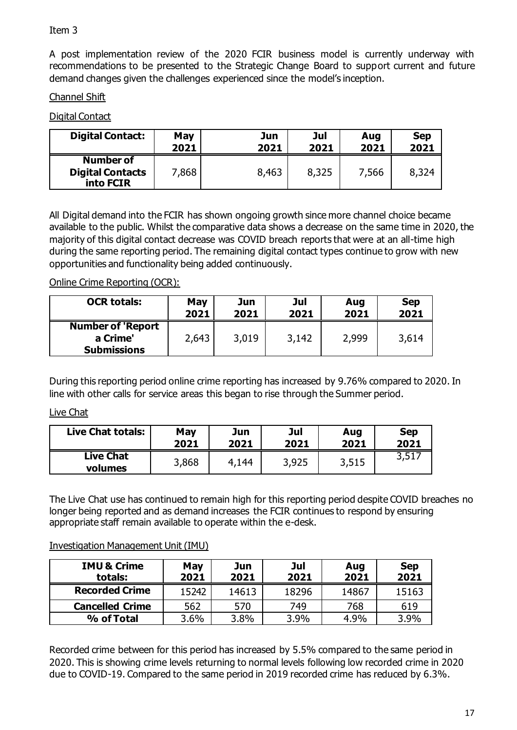A post implementation review of the 2020 FCIR business model is currently underway with recommendations to be presented to the Strategic Change Board to support current and future demand changes given the challenges experienced since the model's inception.

### Channel Shift

# Digital Contact

| <b>Digital Contact:</b>                                  | May   | Jun   | Jul   | Aug   | <b>Sep</b> |
|----------------------------------------------------------|-------|-------|-------|-------|------------|
|                                                          | 2021  | 2021  | 2021  | 2021  | 2021       |
| <b>Number of</b><br><b>Digital Contacts</b><br>into FCIR | 7,868 | 8,463 | 8,325 | 7,566 | 8,324      |

All Digital demand into the FCIR has shown ongoing growth since more channel choice became available to the public. Whilst the comparative data shows a decrease on the same time in 2020, the majority of this digital contact decrease was COVID breach reports that were at an all-time high during the same reporting period. The remaining digital contact types continue to grow with new opportunities and functionality being added continuously.

# Online Crime Reporting (OCR):

| <b>OCR totals:</b>                                         | May   | Jun   | Jul   | Aug   | <b>Sep</b> |
|------------------------------------------------------------|-------|-------|-------|-------|------------|
|                                                            | 2021  | 2021  | 2021  | 2021  | 2021       |
| <b>Number of 'Report</b><br>a Crime'<br><b>Submissions</b> | 2,643 | 3,019 | 3,142 | 2,999 | 3,614      |

During this reporting period online crime reporting has increased by 9.76% compared to 2020. In line with other calls for service areas this began to rise through the Summer period.

### Live Chat

| <b>Live Chat totals:</b>    | May   | Jun   | Jul   | Aug   | <b>Sep</b> |
|-----------------------------|-------|-------|-------|-------|------------|
|                             | 2021  | 2021  | 2021  | 2021  | 2021       |
| <b>Live Chat</b><br>volumes | 3,868 | 4,144 | 3,925 | 3,515 | 3,517      |

The Live Chat use has continued to remain high for this reporting period despite COVID breaches no longer being reported and as demand increases the FCIR continues to respond by ensuring appropriate staff remain available to operate within the e-desk.

### Investigation Management Unit (IMU)

| <b>IMU &amp; Crime</b><br>totals: | May<br>2021 | Jun<br>2021 | Jul<br>2021 | Aug<br>2021 | <b>Sep</b><br>2021 |
|-----------------------------------|-------------|-------------|-------------|-------------|--------------------|
| <b>Recorded Crime</b>             | 15242       | 14613       | 18296       | 14867       | 15163              |
| <b>Cancelled Crime</b>            | 562         | 570         | 749         | 768         | 619                |
| % of Total                        | 3.6%        | 3.8%        | 3.9%        | 4.9%        | 3.9%               |

Recorded crime between for this period has increased by 5.5% compared to the same period in 2020. This is showing crime levels returning to normal levels following low recorded crime in 2020 due to COVID-19. Compared to the same period in 2019 recorded crime has reduced by 6.3%.